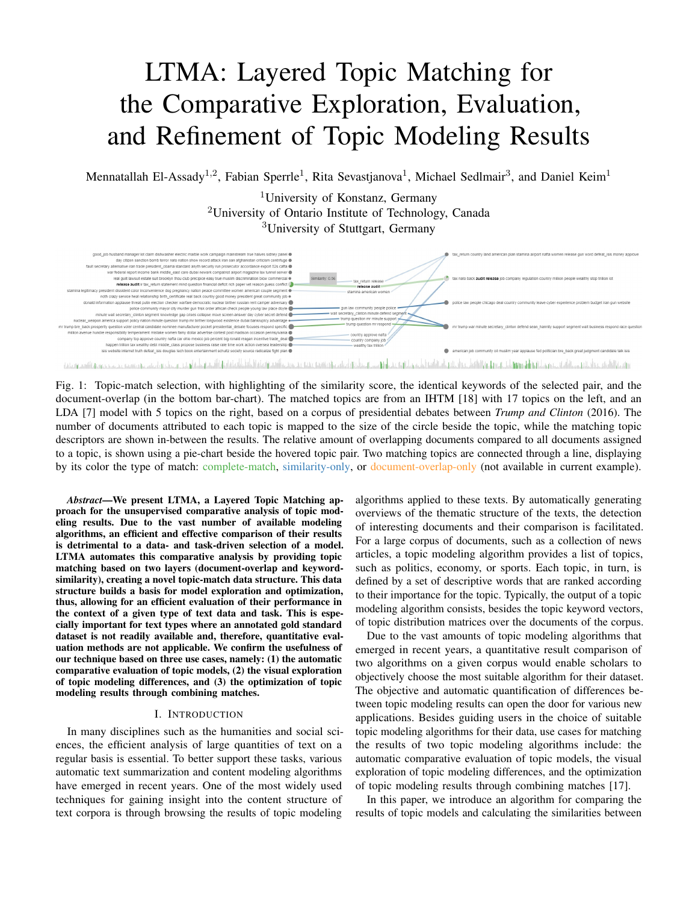# LTMA: Layered Topic Matching for the Comparative Exploration, Evaluation, and Refinement of Topic Modeling Results

Mennatallah El-Assady<sup>1,2</sup>, Fabian Sperrle<sup>1</sup>, Rita Sevastjanova<sup>1</sup>, Michael Sedlmair<sup>3</sup>, and Daniel Keim<sup>1</sup>

<sup>1</sup>University of Konstanz, Germany <sup>2</sup>University of Ontario Institute of Technology, Canada <sup>3</sup>University of Stuttgart, Germany



Fig. 1: Topic-match selection, with highlighting of the similarity score, the identical keywords of the selected pair, and the document-overlap (in the bottom bar-chart). The matched topics are from an IHTM [18] with 17 topics on the left, and an LDA [7] model with 5 topics on the right, based on a corpus of presidential debates between *Trump and Clinton* (2016). The number of documents attributed to each topic is mapped to the size of the circle beside the topic, while the matching topic descriptors are shown in-between the results. The relative amount of overlapping documents compared to all documents assigned to a topic, is shown using a pie-chart beside the hovered topic pair. Two matching topics are connected through a line, displaying by its color the type of match: complete-match, similarity-only, or document-overlap-only (not available in current example).

*Abstract*—We present LTMA, a Layered Topic Matching approach for the unsupervised comparative analysis of topic modeling results. Due to the vast number of available modeling algorithms, an efficient and effective comparison of their results is detrimental to a data- and task-driven selection of a model. LTMA automates this comparative analysis by providing topic matching based on two layers (document-overlap and keywordsimilarity), creating a novel topic-match data structure. This data structure builds a basis for model exploration and optimization, thus, allowing for an efficient evaluation of their performance in the context of a given type of text data and task. This is especially important for text types where an annotated gold standard dataset is not readily available and, therefore, quantitative evaluation methods are not applicable. We confirm the usefulness of our technique based on three use cases, namely: (1) the automatic comparative evaluation of topic models, (2) the visual exploration of topic modeling differences, and (3) the optimization of topic modeling results through combining matches.

## I. INTRODUCTION

In many disciplines such as the humanities and social sciences, the efficient analysis of large quantities of text on a regular basis is essential. To better support these tasks, various automatic text summarization and content modeling algorithms have emerged in recent years. One of the most widely used techniques for gaining insight into the content structure of text corpora is through browsing the results of topic modeling

algorithms applied to these texts. By automatically generating overviews of the thematic structure of the texts, the detection of interesting documents and their comparison is facilitated. For a large corpus of documents, such as a collection of news articles, a topic modeling algorithm provides a list of topics, such as politics, economy, or sports. Each topic, in turn, is defined by a set of descriptive words that are ranked according to their importance for the topic. Typically, the output of a topic modeling algorithm consists, besides the topic keyword vectors, of topic distribution matrices over the documents of the corpus.

Due to the vast amounts of topic modeling algorithms that emerged in recent years, a quantitative result comparison of two algorithms on a given corpus would enable scholars to objectively choose the most suitable algorithm for their dataset. The objective and automatic quantification of differences between topic modeling results can open the door for various new applications. Besides guiding users in the choice of suitable topic modeling algorithms for their data, use cases for matching the results of two topic modeling algorithms include: the automatic comparative evaluation of topic models, the visual exploration of topic modeling differences, and the optimization of topic modeling results through combining matches [17].

In this paper, we introduce an algorithm for comparing the results of topic models and calculating the similarities between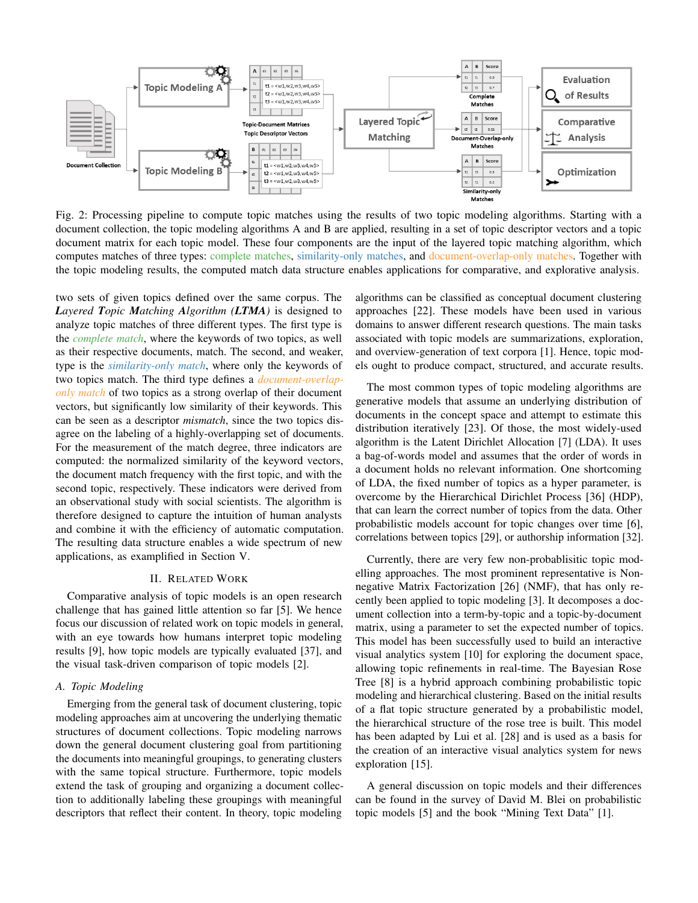

Fig. 2: Processing pipeline to compute topic matches using the results of two topic modeling algorithms. Starting with a document collection, the topic modeling algorithms A and B are applied, resulting in a set of topic descriptor vectors and a topic document matrix for each topic model. These four components are the input of the layered topic matching algorithm, which computes matches of three types: complete matches, similarity-only matches, and document-overlap-only matches. Together with the topic modeling results, the computed match data structure enables applications for comparative, and explorative analysis.

two sets of given topics defined over the same corpus. The *Layered Topic Matching Algorithm (LTMA)* is designed to analyze topic matches of three different types. The first type is the *complete match*, where the keywords of two topics, as well as their respective documents, match. The second, and weaker, type is the *similarity-only match*, where only the keywords of two topics match. The third type defines a *document-overlaponly match* of two topics as a strong overlap of their document vectors, but significantly low similarity of their keywords. This can be seen as a descriptor *mismatch*, since the two topics disagree on the labeling of a highly-overlapping set of documents. For the measurement of the match degree, three indicators are computed: the normalized similarity of the keyword vectors, the document match frequency with the first topic, and with the second topic, respectively. These indicators were derived from an observational study with social scientists. The algorithm is therefore designed to capture the intuition of human analysts and combine it with the efficiency of automatic computation. The resulting data structure enables a wide spectrum of new applications, as examplified in Section V.

# II. RELATED WORK

Comparative analysis of topic models is an open research challenge that has gained little attention so far [5]. We hence focus our discussion of related work on topic models in general, with an eye towards how humans interpret topic modeling results [9], how topic models are typically evaluated [37], and the visual task-driven comparison of topic models [2].

#### *A. Topic Modeling*

Emerging from the general task of document clustering, topic modeling approaches aim at uncovering the underlying thematic structures of document collections. Topic modeling narrows down the general document clustering goal from partitioning the documents into meaningful groupings, to generating clusters with the same topical structure. Furthermore, topic models extend the task of grouping and organizing a document collection to additionally labeling these groupings with meaningful descriptors that reflect their content. In theory, topic modeling

algorithms can be classified as conceptual document clustering approaches [22]. These models have been used in various domains to answer different research questions. The main tasks associated with topic models are summarizations, exploration, and overview-generation of text corpora [1]. Hence, topic models ought to produce compact, structured, and accurate results.

The most common types of topic modeling algorithms are generative models that assume an underlying distribution of documents in the concept space and attempt to estimate this distribution iteratively [23]. Of those, the most widely-used algorithm is the Latent Dirichlet Allocation [7] (LDA). It uses a bag-of-words model and assumes that the order of words in a document holds no relevant information. One shortcoming of LDA, the fixed number of topics as a hyper parameter, is overcome by the Hierarchical Dirichlet Process [36] (HDP), that can learn the correct number of topics from the data. Other probabilistic models account for topic changes over time [6], correlations between topics [29], or authorship information [32].

Currently, there are very few non-probablisitic topic modelling approaches. The most prominent representative is Nonnegative Matrix Factorization [26] (NMF), that has only recently been applied to topic modeling [3]. It decomposes a document collection into a term-by-topic and a topic-by-document matrix, using a parameter to set the expected number of topics. This model has been successfully used to build an interactive visual analytics system [10] for exploring the document space, allowing topic refinements in real-time. The Bayesian Rose Tree [8] is a hybrid approach combining probabilistic topic modeling and hierarchical clustering. Based on the initial results of a flat topic structure generated by a probabilistic model, the hierarchical structure of the rose tree is built. This model has been adapted by Lui et al. [28] and is used as a basis for the creation of an interactive visual analytics system for news exploration [15].

A general discussion on topic models and their differences can be found in the survey of David M. Blei on probabilistic topic models [5] and the book "Mining Text Data" [1].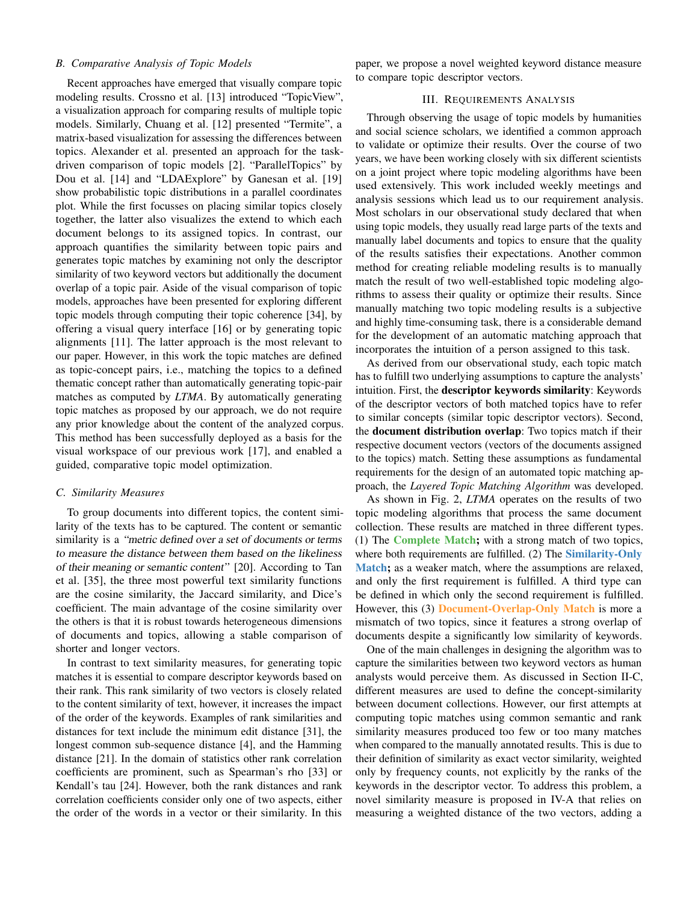## *B. Comparative Analysis of Topic Models*

Recent approaches have emerged that visually compare topic modeling results. Crossno et al. [13] introduced "TopicView", a visualization approach for comparing results of multiple topic models. Similarly, Chuang et al. [12] presented "Termite", a matrix-based visualization for assessing the differences between topics. Alexander et al. presented an approach for the taskdriven comparison of topic models [2]. "ParallelTopics" by Dou et al. [14] and "LDAExplore" by Ganesan et al. [19] show probabilistic topic distributions in a parallel coordinates plot. While the first focusses on placing similar topics closely together, the latter also visualizes the extend to which each document belongs to its assigned topics. In contrast, our approach quantifies the similarity between topic pairs and generates topic matches by examining not only the descriptor similarity of two keyword vectors but additionally the document overlap of a topic pair. Aside of the visual comparison of topic models, approaches have been presented for exploring different topic models through computing their topic coherence [34], by offering a visual query interface [16] or by generating topic alignments [11]. The latter approach is the most relevant to our paper. However, in this work the topic matches are defined as topic-concept pairs, i.e., matching the topics to a defined thematic concept rather than automatically generating topic-pair matches as computed by *LTMA*. By automatically generating topic matches as proposed by our approach, we do not require any prior knowledge about the content of the analyzed corpus. This method has been successfully deployed as a basis for the visual workspace of our previous work [17], and enabled a guided, comparative topic model optimization.

#### *C. Similarity Measures*

To group documents into different topics, the content similarity of the texts has to be captured. The content or semantic similarity is a "metric defined over a set of documents or terms to measure the distance between them based on the likeliness of their meaning or semantic content" [20]. According to Tan et al. [35], the three most powerful text similarity functions are the cosine similarity, the Jaccard similarity, and Dice's coefficient. The main advantage of the cosine similarity over the others is that it is robust towards heterogeneous dimensions of documents and topics, allowing a stable comparison of shorter and longer vectors.

In contrast to text similarity measures, for generating topic matches it is essential to compare descriptor keywords based on their rank. This rank similarity of two vectors is closely related to the content similarity of text, however, it increases the impact of the order of the keywords. Examples of rank similarities and distances for text include the minimum edit distance [31], the longest common sub-sequence distance [4], and the Hamming distance [21]. In the domain of statistics other rank correlation coefficients are prominent, such as Spearman's rho [33] or Kendall's tau [24]. However, both the rank distances and rank correlation coefficients consider only one of two aspects, either the order of the words in a vector or their similarity. In this paper, we propose a novel weighted keyword distance measure to compare topic descriptor vectors.

## III. REQUIREMENTS ANALYSIS

Through observing the usage of topic models by humanities and social science scholars, we identified a common approach to validate or optimize their results. Over the course of two years, we have been working closely with six different scientists on a joint project where topic modeling algorithms have been used extensively. This work included weekly meetings and analysis sessions which lead us to our requirement analysis. Most scholars in our observational study declared that when using topic models, they usually read large parts of the texts and manually label documents and topics to ensure that the quality of the results satisfies their expectations. Another common method for creating reliable modeling results is to manually match the result of two well-established topic modeling algorithms to assess their quality or optimize their results. Since manually matching two topic modeling results is a subjective and highly time-consuming task, there is a considerable demand for the development of an automatic matching approach that incorporates the intuition of a person assigned to this task.

As derived from our observational study, each topic match has to fulfill two underlying assumptions to capture the analysts' intuition. First, the descriptor keywords similarity: Keywords of the descriptor vectors of both matched topics have to refer to similar concepts (similar topic descriptor vectors). Second, the document distribution overlap: Two topics match if their respective document vectors (vectors of the documents assigned to the topics) match. Setting these assumptions as fundamental requirements for the design of an automated topic matching approach, the *Layered Topic Matching Algorithm* was developed.

As shown in Fig. 2, *LTMA* operates on the results of two topic modeling algorithms that process the same document collection. These results are matched in three different types. (1) The Complete Match; with a strong match of two topics, where both requirements are fulfilled. (2) The **Similarity-Only** Match; as a weaker match, where the assumptions are relaxed, and only the first requirement is fulfilled. A third type can be defined in which only the second requirement is fulfilled. However, this (3) **Document-Overlap-Only Match** is more a mismatch of two topics, since it features a strong overlap of documents despite a significantly low similarity of keywords.

One of the main challenges in designing the algorithm was to capture the similarities between two keyword vectors as human analysts would perceive them. As discussed in Section II-C, different measures are used to define the concept-similarity between document collections. However, our first attempts at computing topic matches using common semantic and rank similarity measures produced too few or too many matches when compared to the manually annotated results. This is due to their definition of similarity as exact vector similarity, weighted only by frequency counts, not explicitly by the ranks of the keywords in the descriptor vector. To address this problem, a novel similarity measure is proposed in IV-A that relies on measuring a weighted distance of the two vectors, adding a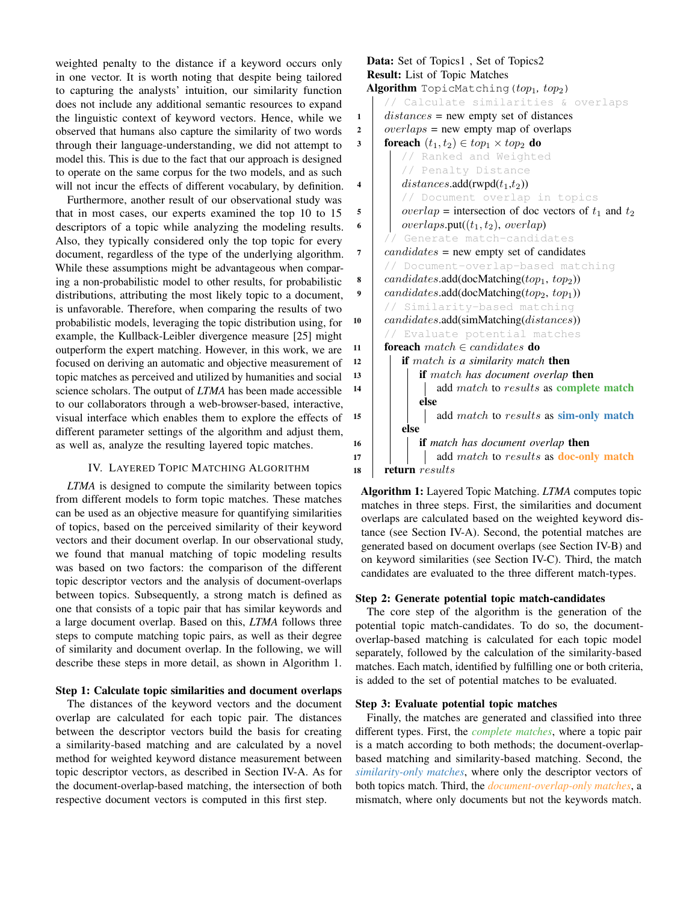weighted penalty to the distance if a keyword occurs only in one vector. It is worth noting that despite being tailored to capturing the analysts' intuition, our similarity function does not include any additional semantic resources to expand the linguistic context of keyword vectors. Hence, while we observed that humans also capture the similarity of two words through their language-understanding, we did not attempt to model this. This is due to the fact that our approach is designed to operate on the same corpus for the two models, and as such will not incur the effects of different vocabulary, by definition.

Furthermore, another result of our observational study was that in most cases, our experts examined the top 10 to 15 descriptors of a topic while analyzing the modeling results. Also, they typically considered only the top topic for every document, regardless of the type of the underlying algorithm. While these assumptions might be advantageous when comparing a non-probabilistic model to other results, for probabilistic distributions, attributing the most likely topic to a document, is unfavorable. Therefore, when comparing the results of two probabilistic models, leveraging the topic distribution using, for example, the Kullback-Leibler divergence measure [25] might outperform the expert matching. However, in this work, we are focused on deriving an automatic and objective measurement of topic matches as perceived and utilized by humanities and social science scholars. The output of *LTMA* has been made accessible to our collaborators through a web-browser-based, interactive, visual interface which enables them to explore the effects of different parameter settings of the algorithm and adjust them, as well as, analyze the resulting layered topic matches.

# IV. LAYERED TOPIC MATCHING ALGORITHM

*LTMA* is designed to compute the similarity between topics from different models to form topic matches. These matches can be used as an objective measure for quantifying similarities of topics, based on the perceived similarity of their keyword vectors and their document overlap. In our observational study, we found that manual matching of topic modeling results was based on two factors: the comparison of the different topic descriptor vectors and the analysis of document-overlaps between topics. Subsequently, a strong match is defined as one that consists of a topic pair that has similar keywords and a large document overlap. Based on this, *LTMA* follows three steps to compute matching topic pairs, as well as their degree of similarity and document overlap. In the following, we will describe these steps in more detail, as shown in Algorithm 1.

# Step 1: Calculate topic similarities and document overlaps

The distances of the keyword vectors and the document overlap are calculated for each topic pair. The distances between the descriptor vectors build the basis for creating a similarity-based matching and are calculated by a novel method for weighted keyword distance measurement between topic descriptor vectors, as described in Section IV-A. As for the document-overlap-based matching, the intersection of both respective document vectors is computed in this first step.

Data: Set of Topics1 , Set of Topics2 Result: List of Topic Matches Algorithm TopicMatching(top<sub>1</sub>, top<sub>2</sub>) // Calculate similarities & overlaps 1 *distances* = new empty set of distances 2 *overlaps* = new empty map of overlaps 3 foreach  $(t_1, t_2) \in top_1 \times top_2$  do // Ranked and Weighted // Penalty Distance 4 distances.add(rwpd $(t_1,t_2)$ ) // Document overlap in topics  $\mathfrak{s}$  | overlap = intersection of doc vectors of  $t_1$  and  $t_2$ 6 | overlaps.put( $(t_1, t_2)$ , overlap) Generate match-candidates  $7 | candidates = new empty set of candidates$ // Document-overlap-based matching 8  $\alpha$  *candidates.add(docMatching(top<sub>1</sub>, top<sub>2</sub>))* 9  $\alpha$  *candidates.add*(docMatching( $top_2$ ,  $top_1$ )) // Similarity-based matching 10 candidates.add(simMatching(distances)) Evaluate potential matches 11 **foreach** match  $\in$  candidates **do** <sup>12</sup> if match *is a similarity match* then <sup>13</sup> if match *has document overlap* then 14 | | | add match to results as complete match else 15 **add** match to results as **sim-only match** else <sup>16</sup> if *match has document overlap* then  $17$  | | | add match to results as **doc-only match** 18 return results

Algorithm 1: Layered Topic Matching. *LTMA* computes topic matches in three steps. First, the similarities and document overlaps are calculated based on the weighted keyword distance (see Section IV-A). Second, the potential matches are generated based on document overlaps (see Section IV-B) and on keyword similarities (see Section IV-C). Third, the match candidates are evaluated to the three different match-types.

# Step 2: Generate potential topic match-candidates

The core step of the algorithm is the generation of the potential topic match-candidates. To do so, the documentoverlap-based matching is calculated for each topic model separately, followed by the calculation of the similarity-based matches. Each match, identified by fulfilling one or both criteria, is added to the set of potential matches to be evaluated.

## Step 3: Evaluate potential topic matches

Finally, the matches are generated and classified into three different types. First, the *complete matches*, where a topic pair is a match according to both methods; the document-overlapbased matching and similarity-based matching. Second, the *similarity-only matches*, where only the descriptor vectors of both topics match. Third, the *document-overlap-only matches*, a mismatch, where only documents but not the keywords match.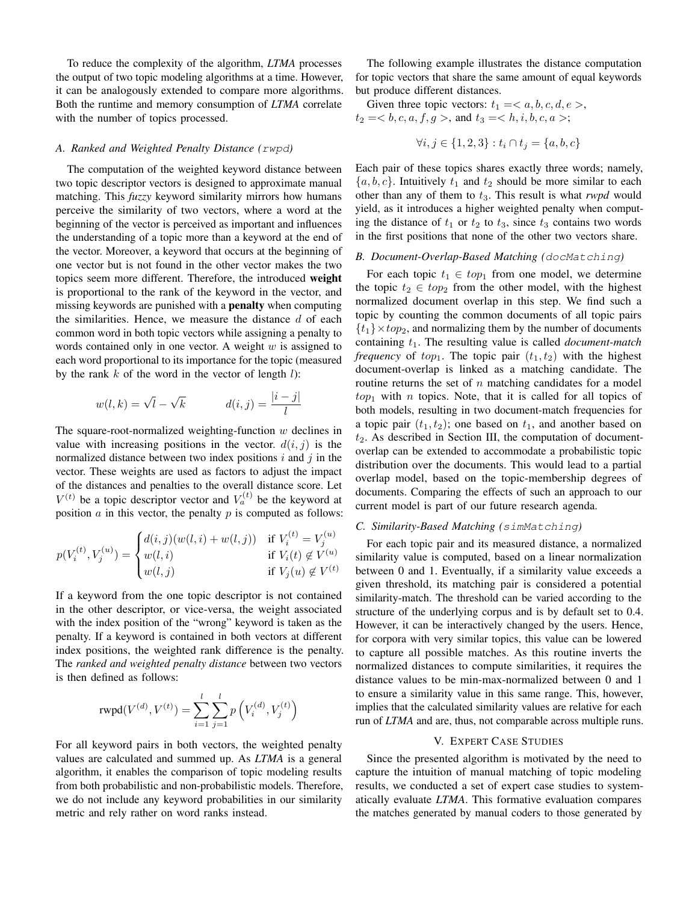To reduce the complexity of the algorithm, *LTMA* processes the output of two topic modeling algorithms at a time. However, it can be analogously extended to compare more algorithms. Both the runtime and memory consumption of *LTMA* correlate with the number of topics processed.

#### *A. Ranked and Weighted Penalty Distance (*rwpd*)*

The computation of the weighted keyword distance between two topic descriptor vectors is designed to approximate manual matching. This *fuzzy* keyword similarity mirrors how humans perceive the similarity of two vectors, where a word at the beginning of the vector is perceived as important and influences the understanding of a topic more than a keyword at the end of the vector. Moreover, a keyword that occurs at the beginning of one vector but is not found in the other vector makes the two topics seem more different. Therefore, the introduced weight is proportional to the rank of the keyword in the vector, and missing keywords are punished with a penalty when computing the similarities. Hence, we measure the distance  $d$  of each common word in both topic vectors while assigning a penalty to words contained only in one vector. A weight  $w$  is assigned to each word proportional to its importance for the topic (measured by the rank  $k$  of the word in the vector of length  $l$ ):

$$
w(l,k) = \sqrt{l} - \sqrt{k} \qquad d(i,j) = \frac{|i-j|}{l}
$$

The square-root-normalized weighting-function  $w$  declines in value with increasing positions in the vector.  $d(i, j)$  is the normalized distance between two index positions  $i$  and  $j$  in the vector. These weights are used as factors to adjust the impact of the distances and penalties to the overall distance score. Let  $V^{(t)}$  be a topic descriptor vector and  $V_a^{(t)}$  be the keyword at position  $\alpha$  in this vector, the penalty  $p$  is computed as follows:

$$
p(V_i^{(t)}, V_j^{(u)}) = \begin{cases} d(i,j)(w(l,i) + w(l,j)) & \text{if } V_i^{(t)} = V_j^{(u)} \\ w(l,i) & \text{if } V_i(t) \notin V^{(u)} \\ w(l,j) & \text{if } V_j(u) \notin V^{(t)} \end{cases}
$$

If a keyword from the one topic descriptor is not contained in the other descriptor, or vice-versa, the weight associated with the index position of the "wrong" keyword is taken as the penalty. If a keyword is contained in both vectors at different index positions, the weighted rank difference is the penalty. The *ranked and weighted penalty distance* between two vectors is then defined as follows:

$$
rwpd(V^{(d)}, V^{(t)}) = \sum_{i=1}^{l} \sum_{j=1}^{l} p\left(V_i^{(d)}, V_j^{(t)}\right)
$$

For all keyword pairs in both vectors, the weighted penalty values are calculated and summed up. As *LTMA* is a general algorithm, it enables the comparison of topic modeling results from both probabilistic and non-probabilistic models. Therefore, we do not include any keyword probabilities in our similarity metric and rely rather on word ranks instead.

The following example illustrates the distance computation for topic vectors that share the same amount of equal keywords but produce different distances.

Given three topic vectors:  $t_1 =$ ,  $t_2 =$ , and  $t_3 =$ ;

$$
\forall i, j \in \{1, 2, 3\} : t_i \cap t_j = \{a, b, c\}
$$

Each pair of these topics shares exactly three words; namely,  $\{a, b, c\}$ . Intuitively  $t_1$  and  $t_2$  should be more similar to each other than any of them to  $t_3$ . This result is what *rwpd* would yield, as it introduces a higher weighted penalty when computing the distance of  $t_1$  or  $t_2$  to  $t_3$ , since  $t_3$  contains two words in the first positions that none of the other two vectors share.

#### *B. Document-Overlap-Based Matching (*docMatching*)*

For each topic  $t_1 \in top_1$  from one model, we determine the topic  $t_2 \in top_2$  from the other model, with the highest normalized document overlap in this step. We find such a topic by counting the common documents of all topic pairs  $\{t_1\} \times top_2$ , and normalizing them by the number of documents containing  $t_1$ . The resulting value is called *document-match frequency* of  $top_1$ . The topic pair  $(t_1, t_2)$  with the highest document-overlap is linked as a matching candidate. The routine returns the set of  $n$  matching candidates for a model  $top_1$  with *n* topics. Note, that it is called for all topics of both models, resulting in two document-match frequencies for a topic pair  $(t_1, t_2)$ ; one based on  $t_1$ , and another based on  $t_2$ . As described in Section III, the computation of documentoverlap can be extended to accommodate a probabilistic topic distribution over the documents. This would lead to a partial overlap model, based on the topic-membership degrees of documents. Comparing the effects of such an approach to our current model is part of our future research agenda.

# *C. Similarity-Based Matching (*simMatching*)*

For each topic pair and its measured distance, a normalized similarity value is computed, based on a linear normalization between 0 and 1. Eventually, if a similarity value exceeds a given threshold, its matching pair is considered a potential similarity-match. The threshold can be varied according to the structure of the underlying corpus and is by default set to 0.4. However, it can be interactively changed by the users. Hence, for corpora with very similar topics, this value can be lowered to capture all possible matches. As this routine inverts the normalized distances to compute similarities, it requires the distance values to be min-max-normalized between 0 and 1 to ensure a similarity value in this same range. This, however, implies that the calculated similarity values are relative for each run of *LTMA* and are, thus, not comparable across multiple runs.

#### V. EXPERT CASE STUDIES

Since the presented algorithm is motivated by the need to capture the intuition of manual matching of topic modeling results, we conducted a set of expert case studies to systematically evaluate *LTMA*. This formative evaluation compares the matches generated by manual coders to those generated by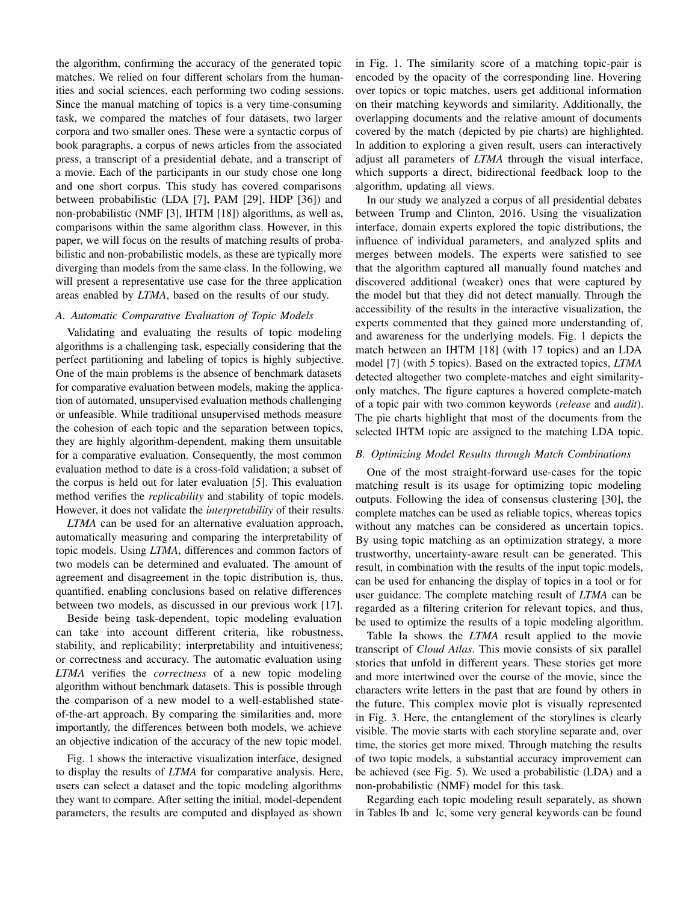the algorithm, confirming the accuracy of the generated topic matches. We relied on four different scholars from the humanities and social sciences, each performing two coding sessions. Since the manual matching of topics is a very time-consuming task, we compared the matches of four datasets, two larger corpora and two smaller ones. These were a syntactic corpus of book paragraphs, a corpus of news articles from the associated press, a transcript of a presidential debate, and a transcript of a movie. Each of the participants in our study chose one long and one short corpus. This study has covered comparisons between probabilistic (LDA [7], PAM [29], HDP [36]) and non-probabilistic (NMF [3], IHTM [18]) algorithms, as well as, comparisons within the same algorithm class. However, in this paper, we will focus on the results of matching results of probabilistic and non-probabilistic models, as these are typically more diverging than models from the same class. In the following, we will present a representative use case for the three application areas enabled by *LTMA*, based on the results of our study.

#### *A. Automatic Comparative Evaluation of Topic Models*

Validating and evaluating the results of topic modeling algorithms is a challenging task, especially considering that the perfect partitioning and labeling of topics is highly subjective. One of the main problems is the absence of benchmark datasets for comparative evaluation between models, making the application of automated, unsupervised evaluation methods challenging or unfeasible. While traditional unsupervised methods measure the cohesion of each topic and the separation between topics, they are highly algorithm-dependent, making them unsuitable for a comparative evaluation. Consequently, the most common evaluation method to date is a cross-fold validation; a subset of the corpus is held out for later evaluation [5]. This evaluation method verifies the *replicability* and stability of topic models. However, it does not validate the *interpretability* of their results.

*LTMA* can be used for an alternative evaluation approach, automatically measuring and comparing the interpretability of topic models. Using *LTMA*, differences and common factors of two models can be determined and evaluated. The amount of agreement and disagreement in the topic distribution is, thus, quantified, enabling conclusions based on relative differences between two models, as discussed in our previous work [17].

Beside being task-dependent, topic modeling evaluation can take into account different criteria, like robustness, stability, and replicability; interpretability and intuitiveness; or correctness and accuracy. The automatic evaluation using *LTMA* verifies the *correctness* of a new topic modeling algorithm without benchmark datasets. This is possible through the comparison of a new model to a well-established stateof-the-art approach. By comparing the similarities and, more importantly, the differences between both models, we achieve an objective indication of the accuracy of the new topic model.

Fig. 1 shows the interactive visualization interface, designed to display the results of *LTMA* for comparative analysis. Here, users can select a dataset and the topic modeling algorithms they want to compare. After setting the initial, model-dependent parameters, the results are computed and displayed as shown

in Fig. 1. The similarity score of a matching topic-pair is encoded by the opacity of the corresponding line. Hovering over topics or topic matches, users get additional information on their matching keywords and similarity. Additionally, the overlapping documents and the relative amount of documents covered by the match (depicted by pie charts) are highlighted. In addition to exploring a given result, users can interactively adjust all parameters of *LTMA* through the visual interface, which supports a direct, bidirectional feedback loop to the algorithm, updating all views.

In our study we analyzed a corpus of all presidential debates between Trump and Clinton, 2016. Using the visualization interface, domain experts explored the topic distributions, the influence of individual parameters, and analyzed splits and merges between models. The experts were satisfied to see that the algorithm captured all manually found matches and discovered additional (weaker) ones that were captured by the model but that they did not detect manually. Through the accessibility of the results in the interactive visualization, the experts commented that they gained more understanding of, and awareness for the underlying models. Fig. 1 depicts the match between an IHTM [18] (with 17 topics) and an LDA model [7] (with 5 topics). Based on the extracted topics, *LTMA* detected altogether two complete-matches and eight similarityonly matches. The figure captures a hovered complete-match of a topic pair with two common keywords (*release* and *audit*). The pie charts highlight that most of the documents from the selected IHTM topic are assigned to the matching LDA topic.

#### *B. Optimizing Model Results through Match Combinations*

One of the most straight-forward use-cases for the topic matching result is its usage for optimizing topic modeling outputs. Following the idea of consensus clustering [30], the complete matches can be used as reliable topics, whereas topics without any matches can be considered as uncertain topics. By using topic matching as an optimization strategy, a more trustworthy, uncertainty-aware result can be generated. This result, in combination with the results of the input topic models, can be used for enhancing the display of topics in a tool or for user guidance. The complete matching result of *LTMA* can be regarded as a filtering criterion for relevant topics, and thus, be used to optimize the results of a topic modeling algorithm.

Table Ia shows the *LTMA* result applied to the movie transcript of *Cloud Atlas*. This movie consists of six parallel stories that unfold in different years. These stories get more and more intertwined over the course of the movie, since the characters write letters in the past that are found by others in the future. This complex movie plot is visually represented in Fig. 3. Here, the entanglement of the storylines is clearly visible. The movie starts with each storyline separate and, over time, the stories get more mixed. Through matching the results of two topic models, a substantial accuracy improvement can be achieved (see Fig. 5). We used a probabilistic (LDA) and a non-probabilistic (NMF) model for this task.

Regarding each topic modeling result separately, as shown in Tables Ib and Ic, some very general keywords can be found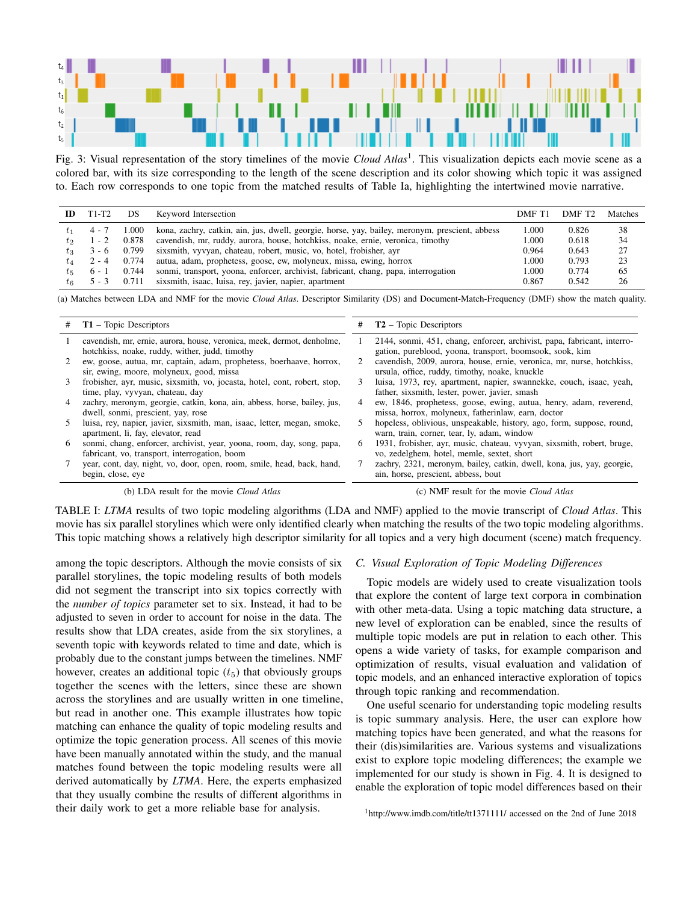

Fig. 3: Visual representation of the story timelines of the movie *Cloud Atlas*<sup>1</sup> . This visualization depicts each movie scene as a colored bar, with its size corresponding to the length of the scene description and its color showing which topic it was assigned to. Each row corresponds to one topic from the matched results of Table Ia, highlighting the intertwined movie narrative.

| ID      | T1-T2   | DS    | Keyword Intersection                                                                           | DMF T1 | DMF T <sub>2</sub> | Matches |
|---------|---------|-------|------------------------------------------------------------------------------------------------|--------|--------------------|---------|
| $t_{1}$ | $4 - 7$ | 000.  | kona, zachry, catkin, ain, jus, dwell, georgie, horse, yay, bailey, meronym, prescient, abbess | 1.000  | 0.826              | 38      |
| $t_{2}$ | $1 - 2$ | 0.878 | cavendish, mr, ruddy, aurora, house, hotchkiss, noake, ernie, veronica, timothy                | 1.000  | 0.618              | 34      |
| tз      | $3 - 6$ | 0.799 | sixsmith, vyvyan, chateau, robert, music, vo, hotel, frobisher, ayr                            | 0.964  | 0.643              | 27      |
| $t_4$   | $2 - 4$ | 0.774 | autua, adam, prophetess, goose, ew, molyneux, missa, ewing, horrox                             | 1.000  | 0.793              | 23      |
| $t_{5}$ | 6 - 1   | 0.744 | sonmi, transport, yoona, enforcer, archivist, fabricant, chang, papa, interrogation            | 1.000  | 0.774              | 65      |
| $t_{6}$ | $5 - 3$ | 0.711 | sixsmith, isaac, luisa, rey, javier, napier, apartment                                         | 0.867  | 0.542              | 26      |

(a) Matches between LDA and NMF for the movie *Cloud Atlas*. Descriptor Similarity (DS) and Document-Match-Frequency (DMF) show the match quality.

| #  | $T1$ – Topic Descriptors                                                                                                 | #  | $T2$ – Topic Descriptors                                                                                                            |
|----|--------------------------------------------------------------------------------------------------------------------------|----|-------------------------------------------------------------------------------------------------------------------------------------|
|    | cavendish, mr, ernie, aurora, house, veronica, meek, dermot, denholme,<br>hotchkiss, noake, ruddy, wither, judd, timothy |    | 2144, sonmi, 451, chang, enforcer, archivist, papa, fabricant, interro-<br>gation, pureblood, yoona, transport, boomsook, sook, kim |
|    | ew, goose, autua, mr, captain, adam, prophetess, boerhaave, horrox,<br>sir, ewing, moore, molyneux, good, missa          |    | cavendish, 2009, aurora, house, ernie, veronica, mr, nurse, hotchkiss,<br>ursula, office, ruddy, timothy, noake, knuckle            |
| 3. | frobisher, ayr, music, sixsmith, vo, jocasta, hotel, cont, robert, stop,<br>time, play, vyvyan, chateau, day             |    | luisa, 1973, rey, apartment, napier, swannekke, couch, isaac, yeah,<br>father, sixsmith, lester, power, javier, smash               |
|    | zachry, meronym, georgie, catkin, kona, ain, abbess, horse, bailey, jus,<br>dwell, sonmi, prescient, yay, rose           | 4  | ew, 1846, prophetess, goose, ewing, autua, henry, adam, reverend,<br>missa, horrox, molyneux, fatherinlaw, earn, doctor             |
|    | luisa, rey, napier, javier, sixsmith, man, isaac, letter, megan, smoke,<br>apartment, li, fay, elevator, read            |    | hopeless, oblivious, unspeakable, history, ago, form, suppose, round,<br>warn, train, corner, tear, ly, adam, window                |
| 6  | sonmi, chang, enforcer, archivist, year, yoona, room, day, song, papa,<br>fabricant, vo, transport, interrogation, boom  | 6. | 1931, frobisher, ayr, music, chateau, vyvyan, sixsmith, robert, bruge,<br>vo, zedelghem, hotel, memle, sextet, short                |
|    | year, cont, day, night, vo, door, open, room, smile, head, back, hand,<br>begin, close, eye                              |    | zachry, 2321, meronym, bailey, catkin, dwell, kona, jus, yay, georgie,<br>ain, horse, prescient, abbess, bout                       |

(b) LDA result for the movie *Cloud Atlas*

(c) NMF result for the movie *Cloud Atlas*

TABLE I: *LTMA* results of two topic modeling algorithms (LDA and NMF) applied to the movie transcript of *Cloud Atlas*. This movie has six parallel storylines which were only identified clearly when matching the results of the two topic modeling algorithms. This topic matching shows a relatively high descriptor similarity for all topics and a very high document (scene) match frequency.

among the topic descriptors. Although the movie consists of six parallel storylines, the topic modeling results of both models did not segment the transcript into six topics correctly with the *number of topics* parameter set to six. Instead, it had to be adjusted to seven in order to account for noise in the data. The results show that LDA creates, aside from the six storylines, a seventh topic with keywords related to time and date, which is probably due to the constant jumps between the timelines. NMF however, creates an additional topic  $(t<sub>5</sub>)$  that obviously groups together the scenes with the letters, since these are shown across the storylines and are usually written in one timeline, but read in another one. This example illustrates how topic matching can enhance the quality of topic modeling results and optimize the topic generation process. All scenes of this movie have been manually annotated within the study, and the manual matches found between the topic modeling results were all derived automatically by *LTMA*. Here, the experts emphasized that they usually combine the results of different algorithms in their daily work to get a more reliable base for analysis.

## *C. Visual Exploration of Topic Modeling Differences*

Topic models are widely used to create visualization tools that explore the content of large text corpora in combination with other meta-data. Using a topic matching data structure, a new level of exploration can be enabled, since the results of multiple topic models are put in relation to each other. This opens a wide variety of tasks, for example comparison and optimization of results, visual evaluation and validation of topic models, and an enhanced interactive exploration of topics through topic ranking and recommendation.

One useful scenario for understanding topic modeling results is topic summary analysis. Here, the user can explore how matching topics have been generated, and what the reasons for their (dis)similarities are. Various systems and visualizations exist to explore topic modeling differences; the example we implemented for our study is shown in Fig. 4. It is designed to enable the exploration of topic model differences based on their

<sup>1</sup>http://www.imdb.com/title/tt1371111/ accessed on the 2nd of June 2018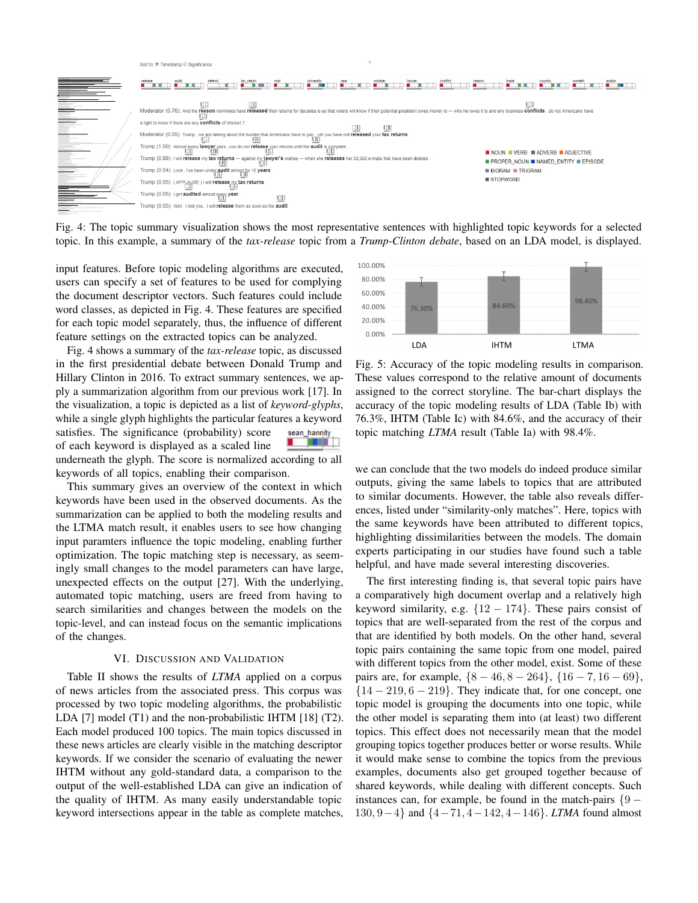

Fig. 4: The topic summary visualization shows the most representative sentences with highlighted topic keywords for a selected topic. In this example, a summary of the *tax-release* topic from a *Trump-Clinton debate*, based on an LDA model, is displayed.

input features. Before topic modeling algorithms are executed, users can specify a set of features to be used for complying the document descriptor vectors. Such features could include word classes, as depicted in Fig. 4. These features are specified for each topic model separately, thus, the influence of different feature settings on the extracted topics can be analyzed.

Fig. 4 shows a summary of the *tax-release* topic, as discussed in the first presidential debate between Donald Trump and Hillary Clinton in 2016. To extract summary sentences, we apply a summarization algorithm from our previous work [17]. In the visualization, a topic is depicted as a list of *keyword-glyphs*, while a single glyph highlights the particular features a keyword satisfies. The significance (probability) score sean\_hannity a propinsi of each keyword is displayed as a scaled line underneath the glyph. The score is normalized according to all keywords of all topics, enabling their comparison.

This summary gives an overview of the context in which keywords have been used in the observed documents. As the summarization can be applied to both the modeling results and the LTMA match result, it enables users to see how changing input paramters influence the topic modeling, enabling further optimization. The topic matching step is necessary, as seemingly small changes to the model parameters can have large, unexpected effects on the output [27]. With the underlying, automated topic matching, users are freed from having to search similarities and changes between the models on the topic-level, and can instead focus on the semantic implications of the changes.

## VI. DISCUSSION AND VALIDATION

Table II shows the results of *LTMA* applied on a corpus of news articles from the associated press. This corpus was processed by two topic modeling algorithms, the probabilistic LDA [7] model (T1) and the non-probabilistic IHTM [18] (T2). Each model produced 100 topics. The main topics discussed in these news articles are clearly visible in the matching descriptor keywords. If we consider the scenario of evaluating the newer IHTM without any gold-standard data, a comparison to the output of the well-established LDA can give an indication of the quality of IHTM. As many easily understandable topic keyword intersections appear in the table as complete matches,



Fig. 5: Accuracy of the topic modeling results in comparison. These values correspond to the relative amount of documents assigned to the correct storyline. The bar-chart displays the accuracy of the topic modeling results of LDA (Table Ib) with 76.3%, IHTM (Table Ic) with 84.6%, and the accuracy of their topic matching *LTMA* result (Table Ia) with 98.4%.

we can conclude that the two models do indeed produce similar outputs, giving the same labels to topics that are attributed to similar documents. However, the table also reveals differences, listed under "similarity-only matches". Here, topics with the same keywords have been attributed to different topics, highlighting dissimilarities between the models. The domain experts participating in our studies have found such a table helpful, and have made several interesting discoveries.

The first interesting finding is, that several topic pairs have a comparatively high document overlap and a relatively high keyword similarity, e.g.  $\{12 - 174\}$ . These pairs consist of topics that are well-separated from the rest of the corpus and that are identified by both models. On the other hand, several topic pairs containing the same topic from one model, paired with different topics from the other model, exist. Some of these pairs are, for example,  $\{8 - 46, 8 - 264\}$ ,  $\{16 - 7, 16 - 69\}$ ,  ${14 - 219, 6 - 219}$ . They indicate that, for one concept, one topic model is grouping the documents into one topic, while the other model is separating them into (at least) two different topics. This effect does not necessarily mean that the model grouping topics together produces better or worse results. While it would make sense to combine the topics from the previous examples, documents also get grouped together because of shared keywords, while dealing with different concepts. Such instances can, for example, be found in the match-pairs  $\{9 - \}$ 130, 9−4} and {4−71, 4−142, 4−146}. *LTMA* found almost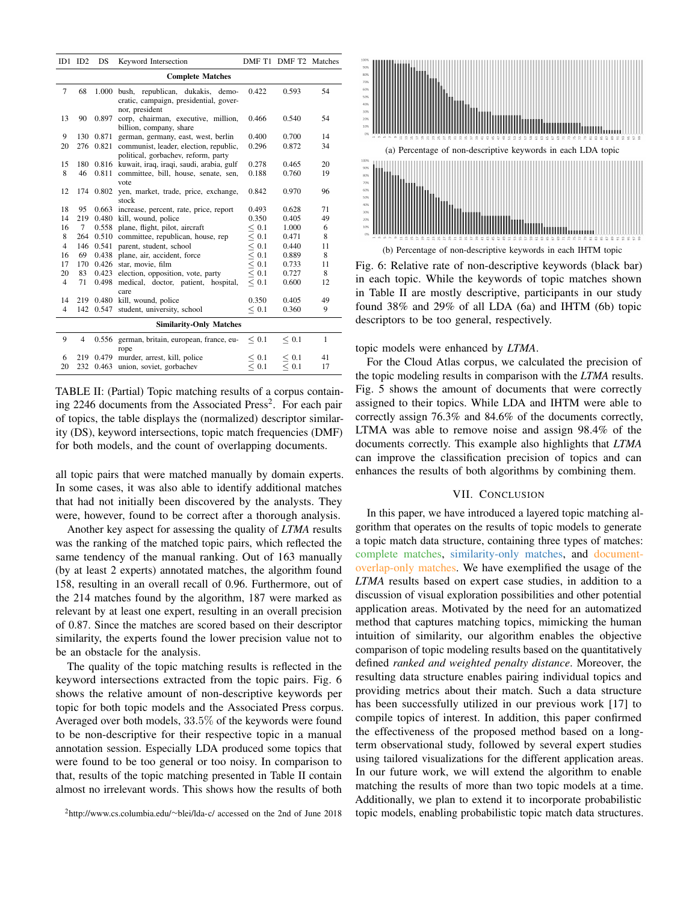|                                | $ID1$ $ID2$    | <b>DS</b> | Keyword Intersection                               |                          | DMF T1 DMF T2 Matches |              |  |  |  |
|--------------------------------|----------------|-----------|----------------------------------------------------|--------------------------|-----------------------|--------------|--|--|--|
| <b>Complete Matches</b>        |                |           |                                                    |                          |                       |              |  |  |  |
| $\overline{7}$                 | 68             | 1.000     | bush, republican, dukakis, demo-                   | 0.422                    | 0.593                 | 54           |  |  |  |
|                                |                |           | cratic, campaign, presidential, gover-             |                          |                       |              |  |  |  |
|                                |                |           | nor, president                                     |                          |                       |              |  |  |  |
| 13                             | 90             | 0.897     | corp, chairman, executive, million,                | 0.466                    | 0.540                 | 54           |  |  |  |
|                                |                |           | billion, company, share                            |                          |                       |              |  |  |  |
| 9                              | 130            | 0.871     | german, germany, east, west, berlin                | 0.400                    | 0.700                 | 14           |  |  |  |
| 20                             |                | 276 0.821 | communist, leader, election, republic,             | 0.296                    | 0.872                 | 34           |  |  |  |
|                                |                |           | political, gorbachev, reform, party                |                          |                       |              |  |  |  |
| 15                             |                |           | 180 0.816 kuwait, iraq, iraqi, saudi, arabia, gulf | 0.278                    | 0.465                 | 20           |  |  |  |
| 8                              | 46             | 0.811     | committee, bill, house, senate, sen,               | 0.188                    | 0.760                 | 19           |  |  |  |
|                                |                |           | vote                                               |                          |                       |              |  |  |  |
| 12                             |                | 174 0.802 | yen, market, trade, price, exchange,               | 0.842                    | 0.970                 | 96           |  |  |  |
|                                |                |           | stock                                              |                          |                       |              |  |  |  |
| 18                             | 95             | 0.663     | increase, percent, rate, price, report             | 0.493                    | 0.628                 | 71           |  |  |  |
| 14                             | 219            | 0.480     | kill, wound, police                                | 0.350                    | 0.405                 | 49           |  |  |  |
| 16                             | $7^{\circ}$    | 0.558     | plane, flight, pilot, aircraft                     | < 0.1                    | 1.000                 | 6            |  |  |  |
| 8                              | 264            | 0.510     | committee, republican, house, rep                  | < 0.1                    | 0.471                 | 8            |  |  |  |
| $\overline{4}$                 | 146            | 0.541     | parent, student, school                            | $\leq 0.1$               | 0.440                 | 11           |  |  |  |
| 16                             | 69             | 0.438     | plane, air, accident, force                        | $\overline{\le}$ 0.1     | 0.889                 | 8            |  |  |  |
| 17                             | 170            | 0.426     | star, movie, film                                  | $\leq 0.1$               | 0.733                 | 11           |  |  |  |
| 20                             | 83             | 0.423     | election, opposition, vote, party                  | $\leq 0.1$               | 0.727                 | 8            |  |  |  |
| $\overline{4}$                 | 71             | 0.498     | medical, doctor, patient, hospital,                | < 0.1                    | 0.600                 | 12           |  |  |  |
|                                |                |           | care                                               |                          |                       |              |  |  |  |
| 14                             |                | 219 0.480 | kill, wound, police                                | 0.350                    | 0.405                 | 49           |  |  |  |
| $\overline{4}$                 | 142            | 0.547     | student, university, school                        | < 0.1                    | 0.360                 | 9            |  |  |  |
| <b>Similarity-Only Matches</b> |                |           |                                                    |                          |                       |              |  |  |  |
| 9                              | $\overline{4}$ | 0.556     | german, britain, european, france, eu-             | < 0.1                    | < 0.1                 | $\mathbf{1}$ |  |  |  |
|                                |                |           | rope                                               |                          |                       |              |  |  |  |
| 6                              | 219            | 0.479     | murder, arrest, kill, police                       |                          | < 0.1                 | 41           |  |  |  |
| 20                             | 232            | 0.463     | union, soviet, gorbachev                           | $\leq 0.1$<br>$\leq 0.1$ | $\leq 0.1$            | 17           |  |  |  |

TABLE II: (Partial) Topic matching results of a corpus containing 2246 documents from the Associated Press<sup>2</sup>. For each pair of topics, the table displays the (normalized) descriptor similarity (DS), keyword intersections, topic match frequencies (DMF) for both models, and the count of overlapping documents.

all topic pairs that were matched manually by domain experts. In some cases, it was also able to identify additional matches that had not initially been discovered by the analysts. They were, however, found to be correct after a thorough analysis.

Another key aspect for assessing the quality of *LTMA* results was the ranking of the matched topic pairs, which reflected the same tendency of the manual ranking. Out of 163 manually (by at least 2 experts) annotated matches, the algorithm found 158, resulting in an overall recall of 0.96. Furthermore, out of the 214 matches found by the algorithm, 187 were marked as relevant by at least one expert, resulting in an overall precision of 0.87. Since the matches are scored based on their descriptor similarity, the experts found the lower precision value not to be an obstacle for the analysis.

The quality of the topic matching results is reflected in the keyword intersections extracted from the topic pairs. Fig. 6 shows the relative amount of non-descriptive keywords per topic for both topic models and the Associated Press corpus. Averaged over both models, 33.5% of the keywords were found to be non-descriptive for their respective topic in a manual annotation session. Especially LDA produced some topics that were found to be too general or too noisy. In comparison to that, results of the topic matching presented in Table II contain almost no irrelevant words. This shows how the results of both



Fig. 6: Relative rate of non-descriptive keywords (black bar) in each topic. While the keywords of topic matches shown in Table II are mostly descriptive, participants in our study found 38% and 29% of all LDA (6a) and IHTM (6b) topic descriptors to be too general, respectively.

topic models were enhanced by *LTMA*.

For the Cloud Atlas corpus, we calculated the precision of the topic modeling results in comparison with the *LTMA* results. Fig. 5 shows the amount of documents that were correctly assigned to their topics. While LDA and IHTM were able to correctly assign 76.3% and 84.6% of the documents correctly, LTMA was able to remove noise and assign 98.4% of the documents correctly. This example also highlights that *LTMA* can improve the classification precision of topics and can enhances the results of both algorithms by combining them.

#### VII. CONCLUSION

In this paper, we have introduced a layered topic matching algorithm that operates on the results of topic models to generate a topic match data structure, containing three types of matches: complete matches, similarity-only matches, and documentoverlap-only matches. We have exemplified the usage of the *LTMA* results based on expert case studies, in addition to a discussion of visual exploration possibilities and other potential application areas. Motivated by the need for an automatized method that captures matching topics, mimicking the human intuition of similarity, our algorithm enables the objective comparison of topic modeling results based on the quantitatively defined *ranked and weighted penalty distance*. Moreover, the resulting data structure enables pairing individual topics and providing metrics about their match. Such a data structure has been successfully utilized in our previous work [17] to compile topics of interest. In addition, this paper confirmed the effectiveness of the proposed method based on a longterm observational study, followed by several expert studies using tailored visualizations for the different application areas. In our future work, we will extend the algorithm to enable matching the results of more than two topic models at a time. Additionally, we plan to extend it to incorporate probabilistic topic models, enabling probabilistic topic match data structures.

<sup>2</sup>http://www.cs.columbia.edu/∼blei/lda-c/ accessed on the 2nd of June 2018